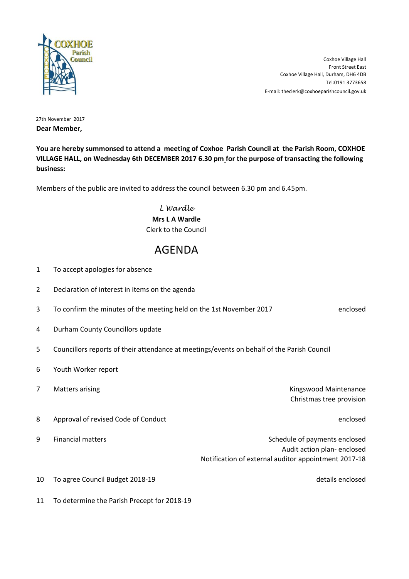

E-mail: theclerk@coxhoeparishcouncil.gov.uk [T](tel:0191 3773658)el:0191 3773658 Coxhoe Village Hall, Durham, DH6 4DB Front Street East Coxhoe Village Hall

27th November 2017 **Dear Member,**

**You are hereby summonsed to attend a meeting of Coxhoe Parish Council at the Parish Room, COXHOE VILLAGE HALL, on Wednesday 6th DECEMBER 2017 6.30 pm for the purpose of transacting the following business:**

Members of the public are invited to address the council between 6.30 pm and 6.45pm.

*L Wardle* **Mrs L A Wardle** Clerk to the Council

## AGENDA

- 1 To accept apologies for absence
- 2 Declaration of interest in items on the agenda
- 3 To confirm the minutes of the meeting held on the 1st November 2017 here relosed
- 4 Durham County Councillors update
- 5 Councillors reports of their attendance at meetings/events on behalf of the Parish Council
- 6 Youth Worker report
- 

7 Matters arising The Communication of the Communication of the Communication of the Communication of the Communication of the Communication of the Communication of the Communication of the Communication of the Communicati Christmas tree provision

8 Approval of revised Code of Conduct enclosed and the enclosed enclosed

- 9 Financial matters **Schedule of payments enclosed** Schedule of payments enclosed Audit action plan- enclosed Notification of external auditor appointment 2017-18
- 10 To agree Council Budget 2018-19 details enclosed
- 11 To determine the Parish Precept for 2018-19